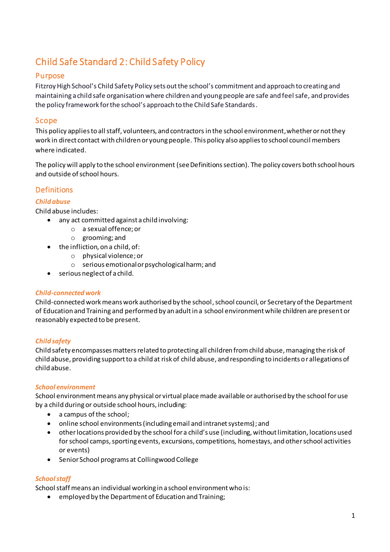# Child Safe Standard 2: Child Safety Policy

# Purpose

Fitzroy High School's Child Safety Policy sets out the school's commitment and approach to creating and maintaining a child safe organisation where children and young people are safe and feel safe, and provides the policy framework for the school's approach to the Child Safe Standards.

# Scope

This policy applies to all staff, volunteers, and contractors in the school environment, whether or not they work in direct contact with children or young people. This policy also applies to school council members where indicated.

The policy will apply to the school environment (see Definitions section). The policy covers both school hours and outside of school hours.

# **Definitions**

### *Child abuse*

Child abuse includes:

- any act committed against a child involving:
	- o a sexual offence; or
	- o grooming; and
- the infliction, on a child, of:
	- o physical violence; or
	- o serious emotional or psychological harm; and
- serious neglect of a child.

### *Child-connected work*

Child-connected work means work authorised by the school, school council, or Secretary of the Department of Education and Training and performed by an adult in a school environment while children are present or reasonably expected to be present.

### *Child safety*

Child safety encompasses matters related to protecting all children from child abuse, managing the risk of child abuse, providing support to a child at risk of child abuse, and responding to incidents or allegations of child abuse.

#### *School environment*

School environment means any physical or virtual place made available or authorised by the school for use by a child during or outside school hours, including:

- a campus of the school;
- online school environments (including email and intranet systems); and
- other locations provided by the school for a child's use (including, without limitation, locations used for school camps, sporting events, excursions, competitions, homestays, and other school activities or events)
- Senior School programs at Collingwood College

### *School staff*

School staff means an individual working in a school environment who is:

employed by the Department of Education and Training;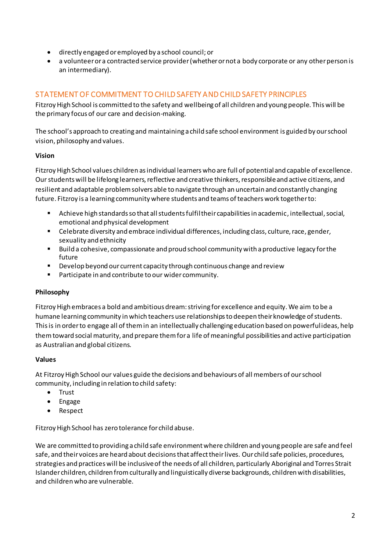- directly engaged or employed by a school council; or
- a volunteer or a contracted service provider (whether or not a body corporate or any other person is an intermediary).

# STATEMENT OF COMMITMENT TO CHILD SAFETY AND CHILD SAFETY PRINCIPLES

Fitzroy High School is committed to the safety and wellbeing of all children and young people. This will be the primary focus of our care and decision-making.

The school's approach to creating and maintaining a child safe school environment is guided by our school vision, philosophy and values.

### **Vision**

Fitzroy High School values children as individual learners who are full of potential and capable of excellence. Our students will be lifelong learners, reflective and creative thinkers, responsible and active citizens, and resilient and adaptable problem solvers able to navigate through an uncertain and constantly changing future. Fitzroy is a learning community where students and teams of teachers work together to:

- Achieve high standards so that all students fulfil their capabilities in academic, intellectual, social, emotional and physical development
- **EXECEDE EXECTEDE FIGHTS CHEDET FIGHTS CHARGE FIGHTS** Celebrate diversity and er, including class, culture, race, gender, sexuality and ethnicity
- Build a cohesive, compassionate and proud school community with a productive legacy for the future
- Develop beyond our current capacity through continuous change and review
- **Participate in and contribute to our wider community.**

### **Philosophy**

Fitzroy High embraces a bold and ambitious dream: striving for excellence and equity. We aim to be a humane learning community in which teachers use relationships to deepen their knowledge of students. This is in order to engage all of them in an intellectually challenging education based on powerful ideas, help them toward social maturity, and prepare them for a life of meaningful possibilities and active participation as Australian and global citizens.

#### **Values**

At Fitzroy High School our values guide the decisions and behaviours of all members of our school community, including in relation to child safety:

- Trust
- Engage
- Respect

Fitzroy High School has zero tolerance for child abuse.

We are committed to providing a child safe environment where children and young people are safe and feel safe, and their voices are heard about decisions that affect their lives. Our child safe policies, procedures, strategies and practices will be inclusive of the needs of all children, particularly Aboriginal and Torres Strait Islander children, children from culturally and linguistically diverse backgrounds, children with disabilities, and children who are vulnerable.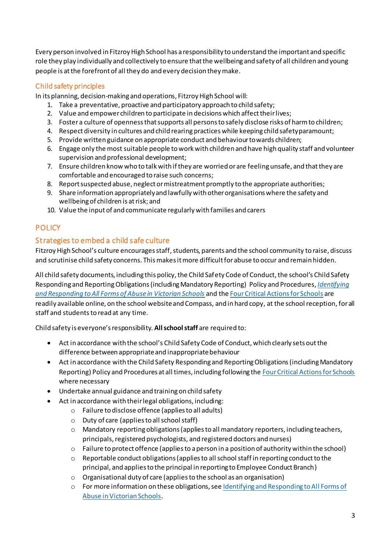Every person involved in Fitzroy High School has a responsibility to understand the important and specific role they play individually and collectively to ensure that the wellbeing and safety of all children and young people is at the forefront of all they do and every decision they make.

# Child safety principles

In its planning, decision-making and operations, Fitzroy High School will:

- 1. Take a preventative, proactive and participatory approach to child safety;
- 2. Value and empower children to participate in decisions which affect their lives;
- 3. Foster a culture of openness that supports all persons to safely disclose risks of harm to children;
- 4. Respect diversity in cultures and child rearing practices while keeping child safety paramount;
- 5. Provide written guidance on appropriate conduct and behaviour towards children;
- 6. Engage only the most suitable people to work with children and have high quality staff and volunteer supervision and professional development;
- 7. Ensure children know who to talk with if they are worried or are feeling unsafe, and that they are comfortable and encouraged to raise such concerns;
- 8. Report suspected abuse, neglect or mistreatment promptly to the appropriate authorities;
- 9. Share information appropriately and lawfully with other organisations where the safety and wellbeing of children is at risk; and
- 10. Value the input of and communicate regularly with families and carers

# **POLICY**

# Strategies to embed a child safe culture

Fitzroy High School's culture encourages staff, students, parents and the school community to raise, discuss and scrutinise child safety concerns. This makes it more difficult for abuse to occur and remain hidden.

All child safety documents, including this policy, the Child Safety Code of Conduct, the school's Child Safety Responding and ReportingObligations(including Mandatory Reporting) Policy and Procedures, *[Identifying](https://www.education.vic.gov.au/Documents/about/programs/health/protect/ChildSafeStandard5_SchoolsGuide.pdf)  [and Responding to All Forms of Abuse in Victorian Schools](https://www.education.vic.gov.au/Documents/about/programs/health/protect/ChildSafeStandard5_SchoolsGuide.pdf)* and th[e Four Critical Actions for Schools](https://www.education.vic.gov.au/Documents/about/programs/health/protect/FourCriticalActions_ChildAbuse.pdf) are readily available online, on the school website and Compass, and in hard copy, at the school reception, for all staff and students to read at any time.

Child safety is everyone's responsibility. **All school staff** are required to:

- Act in accordance with the school's Child Safety Code of Conduct, which clearly sets out the difference between appropriate and inappropriate behaviour
- Act in accordance with the Child Safety Responding and Reporting Obligations(including Mandatory Reporting) Policy and Procedures at all times, including following th[e Four Critical Actions for Schools](https://www.education.vic.gov.au/Documents/about/programs/health/protect/FourCriticalActions_ChildAbuse.pdf) where necessary
- Undertake annual guidance and training on child safety
- Act in accordance with their legal obligations, including:
	- o Failure to disclose offence (applies to all adults)
		- o Duty of care (applies to all school staff)
		- o Mandatory reporting obligations (applies to all mandatory reporters, including teachers, principals, registered psychologists, and registered doctors and nurses)
		- $\circ$  Failure to protect offence (applies to a person in a position of authority within the school)
		- o Reportable conduct obligations (applies to all school staff in reporting conduct to the principal, and applies to the principal in reporting to Employee Conduct Branch)
		- o Organisational duty of care (applies to the school as an organisation)
		- o For more information on these obligations, see [Identifying and Responding to All Forms of](https://www.education.vic.gov.au/Documents/about/programs/health/protect/ChildSafeStandard5_SchoolsGuide.pdf)  [Abuse in Victorian Schools](https://www.education.vic.gov.au/Documents/about/programs/health/protect/ChildSafeStandard5_SchoolsGuide.pdf).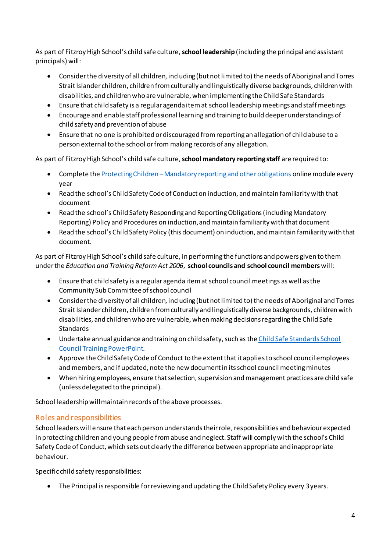As part of Fitzroy High School's child safe culture, **school leadership** (including the principal and assistant principals) will:

- Consider the diversity of all children, including (but not limited to) the needs of Aboriginal and Torres Strait Islander children, children from culturally and linguistically diverse backgrounds, children with disabilities, and children who are vulnerable, when implementing the Child Safe Standards
- Ensure that child safety is a regular agenda item at school leadership meetings and staff meetings
- Encourage and enable staff professional learning and training to build deeper understandings of child safety and prevention of abuse
- Ensure that no one is prohibited or discouraged from reporting an allegation of child abuse to a person external to the school or from making records of any allegation.

As part of Fitzroy High School's child safe culture, **school mandatory reporting staff** are required to:

- Complete the Protecting Children –[Mandatory reporting and other obligations](http://elearn.com.au/det/protectingchildren/) online module every year
- Read the school's Child Safety Code of Conduct on induction, and maintain familiarity with that document
- Read the school's Child Safety Responding and Reporting Obligations(including Mandatory Reporting) Policy and Procedures on induction, and maintain familiarity with that document
- Read the school's Child Safety Policy (this document) on induction, and maintain familiarity with that document.

As part of Fitzroy High School's child safe culture, in performing the functions and powers given to them under the *Education and Training Reform Act 2006*, **school councils and school council members** will:

- Ensure that child safety is a regular agenda item at school council meetings as well as the Community Sub Committee of school council
- Consider the diversity of all children, including (but not limited to) the needs of Aboriginal and Torres Strait Islander children, children from culturally and linguistically diverse backgrounds, children with disabilities, and children who are vulnerable, when making decisions regarding the Child Safe **Standards**
- Undertake annual guidance and training on child safety, such as th[e Child Safe Standards School](https://www.education.vic.gov.au/Documents/about/programs/health/protect/school-council-training.pptx)  [Council Training](https://www.education.vic.gov.au/Documents/about/programs/health/protect/school-council-training.pptx) PowerPoint.
- Approve the Child Safety Code of Conduct to the extent thatit applies to school council employees and members, and if updated, note the new document in its school council meeting minutes
- When hiring employees, ensure that selection, supervision and management practices are child safe (unless delegated to the principal).

School leadership will maintain records of the above processes.

# Roles and responsibilities

School leaders will ensure that each person understands their role, responsibilities and behaviour expected in protecting children and young people from abuse and neglect. Staff will comply with the school's Child Safety Code of Conduct, which sets out clearly the difference between appropriate and inappropriate behaviour.

Specific child safety responsibilities:

The Principal is responsible for reviewing and updating the Child Safety Policy every 3years.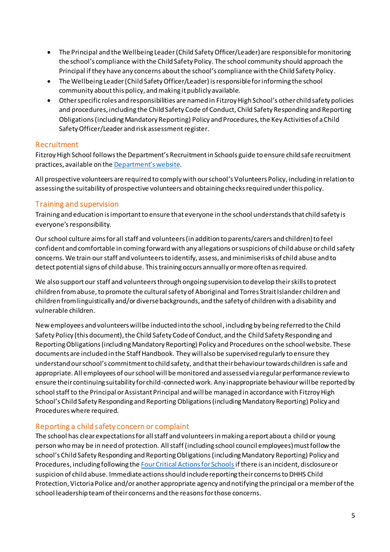- The Principal and the Wellbeing Leader (Child Safety Officer/Leader) are responsible for monitoring the school's compliance with the Child Safety Policy. The school community should approach the Principal if they have any concerns about the school's compliance with the Child Safety Policy.
- The Wellbeing Leader(Child SafetyOfficer/Leader) is responsible for informing the school community about this policy, and making it publicly available.
- Other specific roles and responsibilities are named in Fitzroy High School's other child safety policies and procedures, including the Child Safety Code of Conduct, Child Safety Responding and Reporting Obligations (including Mandatory Reporting) Policy and Procedures, the Key Activities of a Child Safety Officer/Leader and risk assessment register.

### Recruitment

Fitzroy High School follows the Department's Recruitment in Schools guide to ensure child safe recruitment practices, available on the [Department'](https://www.education.vic.gov.au/hrweb/careers/Pages/recruitinsch.aspx)s website.

All prospective volunteers are required to comply with our school's Volunteers Policy, including in relation to assessing the suitability of prospective volunteers and obtaining checks required under this policy.

# Training and supervision

Training and education is important to ensure that everyone in the school understands that child safety is everyone's responsibility.

Our school culture aims for all staff and volunteers (in addition to parents/carers and children) to feel confident and comfortable in coming forward with any allegations or suspicions of child abuse or child safety concerns. We train our staff and volunteers to identify, assess, and minimise risks of child abuse and to detect potential signs of child abuse. This training occurs annually or more often as required.

We also support our staff and volunteers through ongoing supervision to develop their skills to protect children from abuse, to promote the cultural safety of Aboriginal and Torres Strait Islander children and children from linguistically and/or diverse backgrounds, and the safety of children with a disability and vulnerable children.

New employees and volunteers will be inducted into the school, including by being referred to the Child Safety Policy (this document), the Child Safety Code of Conduct, and the Child Safety Responding and Reporting Obligations (including Mandatory Reporting) Policy and Procedures on the school website. These documents are included in the Staff Handbook. They will also be supervised regularly to ensure they understand our school's commitment to child safety, and that their behaviour towards children is safe and appropriate. All employees of our school will be monitored and assessed via regular performance review to ensure their continuing suitability for child-connected work. Any inappropriate behaviour will be reported by school staff to the Principal or Assistant Principal and will be managed in accordance with Fitzroy High School's Child Safety Responding and Reporting Obligations(including Mandatory Reporting) Policy and Procedures where required.

### Reporting a child safety concern or complaint

The school has clear expectations for all staff and volunteersin making a report about a child or young person who may be in need of protection. All staff (including school council employees) must follow the school's Child Safety Responding and Reporting Obligations (including Mandatory Reporting) Policy and Procedures, including following th[e Four Critical Actions for Schools](https://www.education.vic.gov.au/Documents/about/programs/health/protect/FourCriticalActions_ChildAbuse.pdf)if there is an incident, disclosure or suspicion of child abuse. Immediate actionsshould include reporting their concerns to DHHS Child Protection, Victoria Police and/or another appropriate agency and notifying the principal or a member of the school leadership team of their concerns and the reasons for those concerns.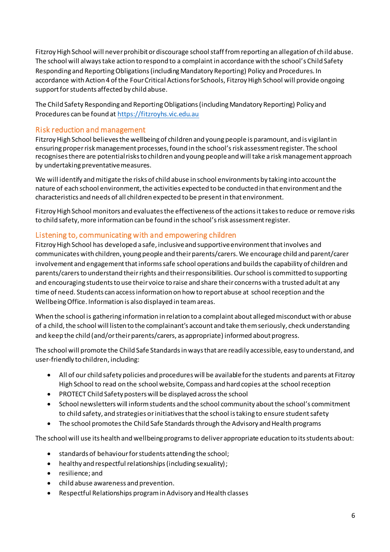Fitzroy High School will never prohibit or discourage school staff from reporting an allegation of child abuse. The school will always take action to respond to a complaint in accordance with the school's Child Safety Responding and ReportingObligations (including Mandatory Reporting) Policy and Procedures. In accordance with Action 4 of the Four Critical Actions for Schools, Fitzroy High School will provide ongoing support for students affected by child abuse.

The Child Safety Responding and ReportingObligations(including Mandatory Reporting) Policy and Procedures can be found a[t https://fitzroyhs.vic.edu.au](https://fitzroyhs.vic.edu.au/wp-content/uploads/2020/02/FHS-Child-Safety-Responding-and-Reporting-Obligations-including-Mandatory-Reporting-Policy-and-Procedure-december-2019.pdf)

### Risk reduction and management

Fitzroy High School believes the wellbeing of children and young people is paramount, and is vigilant in ensuring proper risk management processes, found in the school'srisk assessment register. The school recognises there are potential risks to children and young people and will take a risk management approach by undertaking preventative measures.

We will identify and mitigate the risks of child abuse in school environments by taking into account the nature of each school environment, the activities expected to be conducted in that environment and the characteristics and needs of all children expected to be present in that environment.

Fitzroy High School monitors and evaluates the effectiveness of the actions it takes to reduce or remove risks to child safety, more information can be found in the school's risk assessment register.

### Listening to, communicating with and empowering children

Fitzroy High School has developed a safe, inclusive and supportive environment that involves and communicates with children, young people and their parents/carers. We encourage child and parent/carer involvement and engagement that informs safe school operations and builds the capability of children and parents/carers to understand their rights and their responsibilities. Our school is committed to supporting and encouraging students to use their voice to raise and share their concerns with a trusted adult at any time of need. Students can access information on how to report abuse at school reception and the Wellbeing Office. Information is also displayed in team areas.

When the school is gathering information in relation to a complaint about alleged misconduct with or abuse of a child, the school will listen to the complainant's account and take them seriously, check understanding and keep the child (and/or their parents/carers, as appropriate) informed about progress.

The school will promote the Child Safe Standards in ways that are readily accessible, easy to understand, and user-friendly to children, including:

- All of our child safety policies and procedures will be available for the students and parents at Fitzroy High School to read on the school website, Compass and hard copies at the school reception
- PROTECT Child Safety posters will be displayed across the school
- School newsletters will inform students and the school community about the school's commitment to child safety, and strategies or initiatives that the school is taking to ensure student safety
- The school promotes the Child Safe Standards through the Advisory and Health programs

The school will use its health and wellbeing programs to deliver appropriate education to its students about:

- standards of behaviour for students attending the school;
- healthy and respectful relationships (including sexuality);
- resilience; and
- child abuse awareness and prevention.
- Respectful Relationships program in Advisory and Health classes